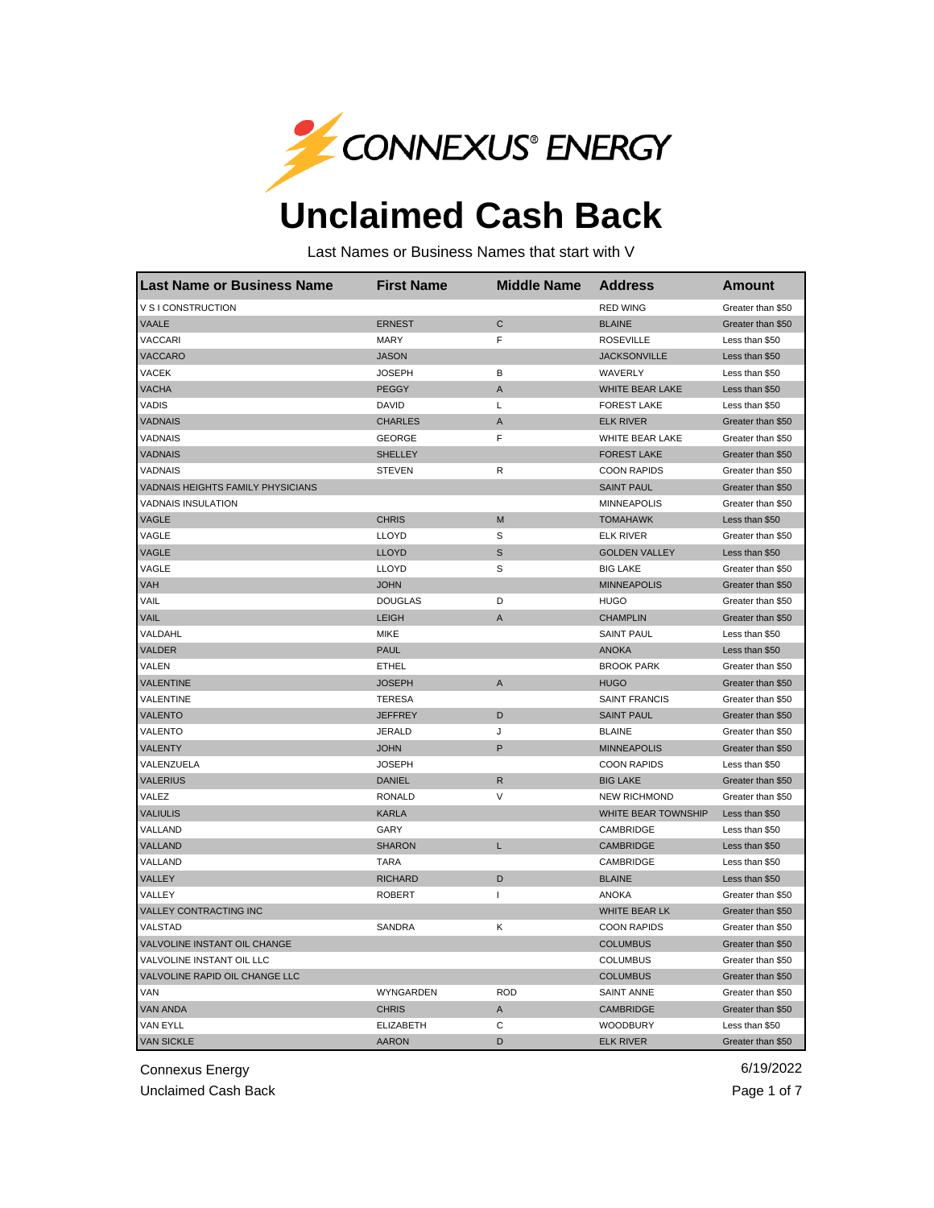

## **Unclaimed Cash Back**

Last Names or Business Names that start with V

| <b>Last Name or Business Name</b>        | <b>First Name</b> | <b>Middle Name</b> | Address                | Amount            |
|------------------------------------------|-------------------|--------------------|------------------------|-------------------|
| V S I CONSTRUCTION                       |                   |                    | <b>RED WING</b>        | Greater than \$50 |
| <b>VAALE</b>                             | <b>ERNEST</b>     | C                  | <b>BLAINE</b>          | Greater than \$50 |
| VACCARI                                  | <b>MARY</b>       | F                  | <b>ROSEVILLE</b>       | Less than \$50    |
| VACCARO                                  | <b>JASON</b>      |                    | <b>JACKSONVILLE</b>    | Less than \$50    |
| <b>VACEK</b>                             | <b>JOSEPH</b>     | B                  | WAVERLY                | Less than \$50    |
| <b>VACHA</b>                             | <b>PEGGY</b>      | A                  | <b>WHITE BEAR LAKE</b> | Less than \$50    |
| <b>VADIS</b>                             | DAVID             | L                  | <b>FOREST LAKE</b>     | Less than \$50    |
| <b>VADNAIS</b>                           | <b>CHARLES</b>    | Α                  | <b>ELK RIVER</b>       | Greater than \$50 |
| VADNAIS                                  | <b>GEORGE</b>     | F                  | WHITE BEAR LAKE        | Greater than \$50 |
| <b>VADNAIS</b>                           | <b>SHELLEY</b>    |                    | <b>FOREST LAKE</b>     | Greater than \$50 |
| VADNAIS                                  | <b>STEVEN</b>     | R                  | <b>COON RAPIDS</b>     | Greater than \$50 |
| <b>VADNAIS HEIGHTS FAMILY PHYSICIANS</b> |                   |                    | <b>SAINT PAUL</b>      | Greater than \$50 |
| <b>VADNAIS INSULATION</b>                |                   |                    | <b>MINNEAPOLIS</b>     | Greater than \$50 |
| VAGLE                                    | <b>CHRIS</b>      | М                  | <b>TOMAHAWK</b>        | Less than \$50    |
| VAGLE                                    | LLOYD             | S                  | <b>ELK RIVER</b>       | Greater than \$50 |
| <b>VAGLE</b>                             | <b>LLOYD</b>      | S                  | <b>GOLDEN VALLEY</b>   | Less than \$50    |
| VAGLE                                    | <b>LLOYD</b>      | S                  | <b>BIG LAKE</b>        | Greater than \$50 |
| <b>VAH</b>                               | <b>JOHN</b>       |                    | <b>MINNEAPOLIS</b>     | Greater than \$50 |
| VAIL                                     | <b>DOUGLAS</b>    | D                  | <b>HUGO</b>            | Greater than \$50 |
| <b>VAIL</b>                              | <b>LEIGH</b>      | Α                  | <b>CHAMPLIN</b>        | Greater than \$50 |
| VALDAHL                                  | <b>MIKE</b>       |                    | SAINT PAUL             | Less than \$50    |
| VALDER                                   | <b>PAUL</b>       |                    | <b>ANOKA</b>           | Less than \$50    |
| VALEN                                    | <b>ETHEL</b>      |                    | <b>BROOK PARK</b>      | Greater than \$50 |
| <b>VALENTINE</b>                         | <b>JOSEPH</b>     | A                  | <b>HUGO</b>            | Greater than \$50 |
| VALENTINE                                | <b>TERESA</b>     |                    | <b>SAINT FRANCIS</b>   | Greater than \$50 |
| <b>VALENTO</b>                           | <b>JEFFREY</b>    | D                  | <b>SAINT PAUL</b>      | Greater than \$50 |
| VALENTO                                  | <b>JERALD</b>     | J                  | <b>BLAINE</b>          | Greater than \$50 |
| VALENTY                                  | <b>JOHN</b>       | P                  | <b>MINNEAPOLIS</b>     | Greater than \$50 |
| VALENZUELA                               | <b>JOSEPH</b>     |                    | <b>COON RAPIDS</b>     | Less than \$50    |
| <b>VALERIUS</b>                          | <b>DANIEL</b>     | R                  | <b>BIG LAKE</b>        | Greater than \$50 |
| VALEZ                                    | <b>RONALD</b>     | V                  | <b>NEW RICHMOND</b>    | Greater than \$50 |
| <b>VALIULIS</b>                          | <b>KARLA</b>      |                    | WHITE BEAR TOWNSHIP    | Less than \$50    |
| VALLAND                                  | GARY              |                    | CAMBRIDGE              | Less than \$50    |
| VALLAND                                  | <b>SHARON</b>     | L                  | <b>CAMBRIDGE</b>       | Less than \$50    |
| VALLAND                                  | <b>TARA</b>       |                    | CAMBRIDGE              | Less than \$50    |
| VALLEY                                   | <b>RICHARD</b>    | D                  | <b>BLAINE</b>          | Less than \$50    |
| VALLEY                                   | <b>ROBERT</b>     | $\mathsf{I}$       | <b>ANOKA</b>           | Greater than \$50 |
| <b>VALLEY CONTRACTING INC</b>            |                   |                    | <b>WHITE BEAR LK</b>   | Greater than \$50 |
| VALSTAD                                  | SANDRA            | Κ                  | <b>COON RAPIDS</b>     | Greater than \$50 |
| VALVOLINE INSTANT OIL CHANGE             |                   |                    | <b>COLUMBUS</b>        | Greater than \$50 |
| VALVOLINE INSTANT OIL LLC                |                   |                    | <b>COLUMBUS</b>        | Greater than \$50 |
| VALVOLINE RAPID OIL CHANGE LLC           |                   |                    | <b>COLUMBUS</b>        | Greater than \$50 |
| VAN                                      | WYNGARDEN         | <b>ROD</b>         | <b>SAINT ANNE</b>      | Greater than \$50 |
| <b>VAN ANDA</b>                          | <b>CHRIS</b>      | Α                  | <b>CAMBRIDGE</b>       | Greater than \$50 |
| VAN EYLL                                 | <b>ELIZABETH</b>  | C                  | <b>WOODBURY</b>        | Less than \$50    |
| <b>VAN SICKLE</b>                        | <b>AARON</b>      | D                  | <b>ELK RIVER</b>       | Greater than \$50 |

Connexus Energy 6/19/2022

Unclaimed Cash Back **Page 1 of 7** and 2012 1 and 2012 1 and 2012 1 and 2012 1 and 2012 1 and 2012 1 and 2012 1 and 2012 1 and 2012 1 and 2012 1 and 2012 1 and 2012 1 and 2012 1 and 2012 1 and 2012 1 and 2012 1 and 2012 1 a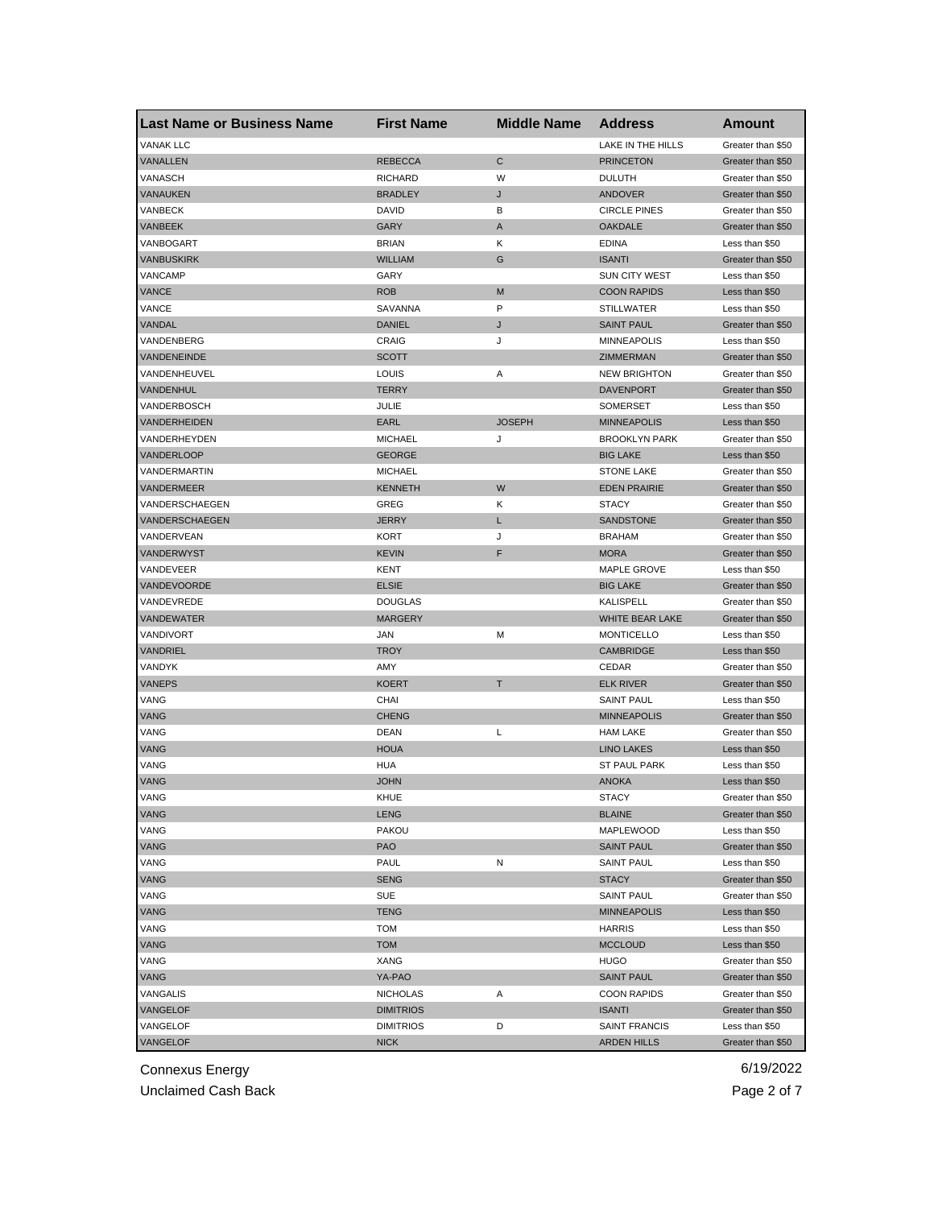| <b>Last Name or Business Name</b> | <b>First Name</b> | <b>Middle Name</b> | <b>Address</b>       | Amount            |
|-----------------------------------|-------------------|--------------------|----------------------|-------------------|
| <b>VANAK LLC</b>                  |                   |                    | LAKE IN THE HILLS    | Greater than \$50 |
| VANALLEN                          | <b>REBECCA</b>    | C                  | <b>PRINCETON</b>     | Greater than \$50 |
| VANASCH                           | <b>RICHARD</b>    | W                  | <b>DULUTH</b>        | Greater than \$50 |
| VANAUKEN                          | <b>BRADLEY</b>    | J                  | <b>ANDOVER</b>       | Greater than \$50 |
| VANBECK                           | DAVID             | В                  | <b>CIRCLE PINES</b>  | Greater than \$50 |
| VANBEEK                           | <b>GARY</b>       | A                  | <b>OAKDALE</b>       | Greater than \$50 |
| VANBOGART                         | <b>BRIAN</b>      | Κ                  | <b>EDINA</b>         | Less than \$50    |
| VANBUSKIRK                        | <b>WILLIAM</b>    | G                  | <b>ISANTI</b>        | Greater than \$50 |
| VANCAMP                           | GARY              |                    | <b>SUN CITY WEST</b> | Less than \$50    |
| VANCE                             | <b>ROB</b>        | M                  | <b>COON RAPIDS</b>   | Less than \$50    |
| VANCE                             | SAVANNA           | P                  | <b>STILLWATER</b>    | Less than \$50    |
| VANDAL                            | <b>DANIEL</b>     | J                  | <b>SAINT PAUL</b>    | Greater than \$50 |
| VANDENBERG                        | CRAIG             | J                  | <b>MINNEAPOLIS</b>   | Less than \$50    |
| VANDENEINDE                       | <b>SCOTT</b>      |                    | ZIMMERMAN            | Greater than \$50 |
| VANDENHEUVEL                      | LOUIS             | Α                  | <b>NEW BRIGHTON</b>  | Greater than \$50 |
| VANDENHUL                         | <b>TERRY</b>      |                    | <b>DAVENPORT</b>     | Greater than \$50 |
| VANDERBOSCH                       | JULIE             |                    | <b>SOMERSET</b>      | Less than \$50    |
| VANDERHEIDEN                      | <b>EARL</b>       | <b>JOSEPH</b>      | <b>MINNEAPOLIS</b>   | Less than \$50    |
| VANDERHEYDEN                      | <b>MICHAEL</b>    | J                  | <b>BROOKLYN PARK</b> | Greater than \$50 |
| VANDERLOOP                        | <b>GEORGE</b>     |                    | <b>BIG LAKE</b>      | Less than \$50    |
| VANDERMARTIN                      | <b>MICHAEL</b>    |                    | <b>STONE LAKE</b>    | Greater than \$50 |
| VANDERMEER                        | <b>KENNETH</b>    | W                  | <b>EDEN PRAIRIE</b>  | Greater than \$50 |
| VANDERSCHAEGEN                    | GREG              | Κ                  | <b>STACY</b>         | Greater than \$50 |
| VANDERSCHAEGEN                    | <b>JERRY</b>      | L                  | <b>SANDSTONE</b>     | Greater than \$50 |
| VANDERVEAN                        | KORT              | J                  | <b>BRAHAM</b>        | Greater than \$50 |
| VANDERWYST                        | <b>KEVIN</b>      | F                  | <b>MORA</b>          | Greater than \$50 |
| VANDEVEER                         | KENT              |                    | MAPLE GROVE          | Less than \$50    |
| <b>VANDEVOORDE</b>                | <b>ELSIE</b>      |                    | <b>BIG LAKE</b>      | Greater than \$50 |
| VANDEVREDE                        | <b>DOUGLAS</b>    |                    | KALISPELL            |                   |
| VANDEWATER                        |                   |                    | WHITE BEAR LAKE      | Greater than \$50 |
|                                   | <b>MARGERY</b>    |                    |                      | Greater than \$50 |
| VANDIVORT                         | JAN               | M                  | <b>MONTICELLO</b>    | Less than \$50    |
| <b>VANDRIEL</b>                   | <b>TROY</b>       |                    | <b>CAMBRIDGE</b>     | Less than \$50    |
| VANDYK                            | AMY               |                    | CEDAR                | Greater than \$50 |
| <b>VANEPS</b>                     | <b>KOERT</b>      | T                  | <b>ELK RIVER</b>     | Greater than \$50 |
| VANG                              | CHAI              |                    | <b>SAINT PAUL</b>    | Less than \$50    |
| VANG                              | <b>CHENG</b>      |                    | <b>MINNEAPOLIS</b>   | Greater than \$50 |
| VANG                              | <b>DEAN</b>       | Г                  | <b>HAM LAKE</b>      | Greater than \$50 |
| VANG                              | <b>HOUA</b>       |                    | <b>LINO LAKES</b>    | Less than \$50    |
| VANG                              | <b>HUA</b>        |                    | <b>ST PAUL PARK</b>  | Less than \$50    |
| <b>VANG</b>                       | <b>JOHN</b>       |                    | <b>ANOKA</b>         | Less than \$50    |
| VANG                              | KHUE              |                    | <b>STACY</b>         | Greater than \$50 |
| <b>VANG</b>                       | <b>LENG</b>       |                    | <b>BLAINE</b>        | Greater than \$50 |
| VANG                              | <b>PAKOU</b>      |                    | MAPLEWOOD            | Less than \$50    |
| VANG                              | <b>PAO</b>        |                    | <b>SAINT PAUL</b>    | Greater than \$50 |
| VANG                              | PAUL              | Ν                  | <b>SAINT PAUL</b>    | Less than \$50    |
| <b>VANG</b>                       | <b>SENG</b>       |                    | <b>STACY</b>         | Greater than \$50 |
| VANG                              | SUE               |                    | <b>SAINT PAUL</b>    | Greater than \$50 |
| <b>VANG</b>                       | <b>TENG</b>       |                    | <b>MINNEAPOLIS</b>   | Less than \$50    |
| VANG                              | TOM               |                    | <b>HARRIS</b>        | Less than \$50    |
| VANG                              | <b>TOM</b>        |                    | <b>MCCLOUD</b>       | Less than \$50    |
| VANG                              | <b>XANG</b>       |                    | HUGO                 | Greater than \$50 |
| <b>VANG</b>                       | YA-PAO            |                    | <b>SAINT PAUL</b>    | Greater than \$50 |
| VANGALIS                          | <b>NICHOLAS</b>   | Α                  | <b>COON RAPIDS</b>   | Greater than \$50 |
| VANGELOF                          | <b>DIMITRIOS</b>  |                    | <b>ISANTI</b>        | Greater than \$50 |
| VANGELOF                          | <b>DIMITRIOS</b>  | D                  | SAINT FRANCIS        | Less than \$50    |
| VANGELOF                          | <b>NICK</b>       |                    | <b>ARDEN HILLS</b>   | Greater than \$50 |

Unclaimed Cash Back **Page 2 of 7**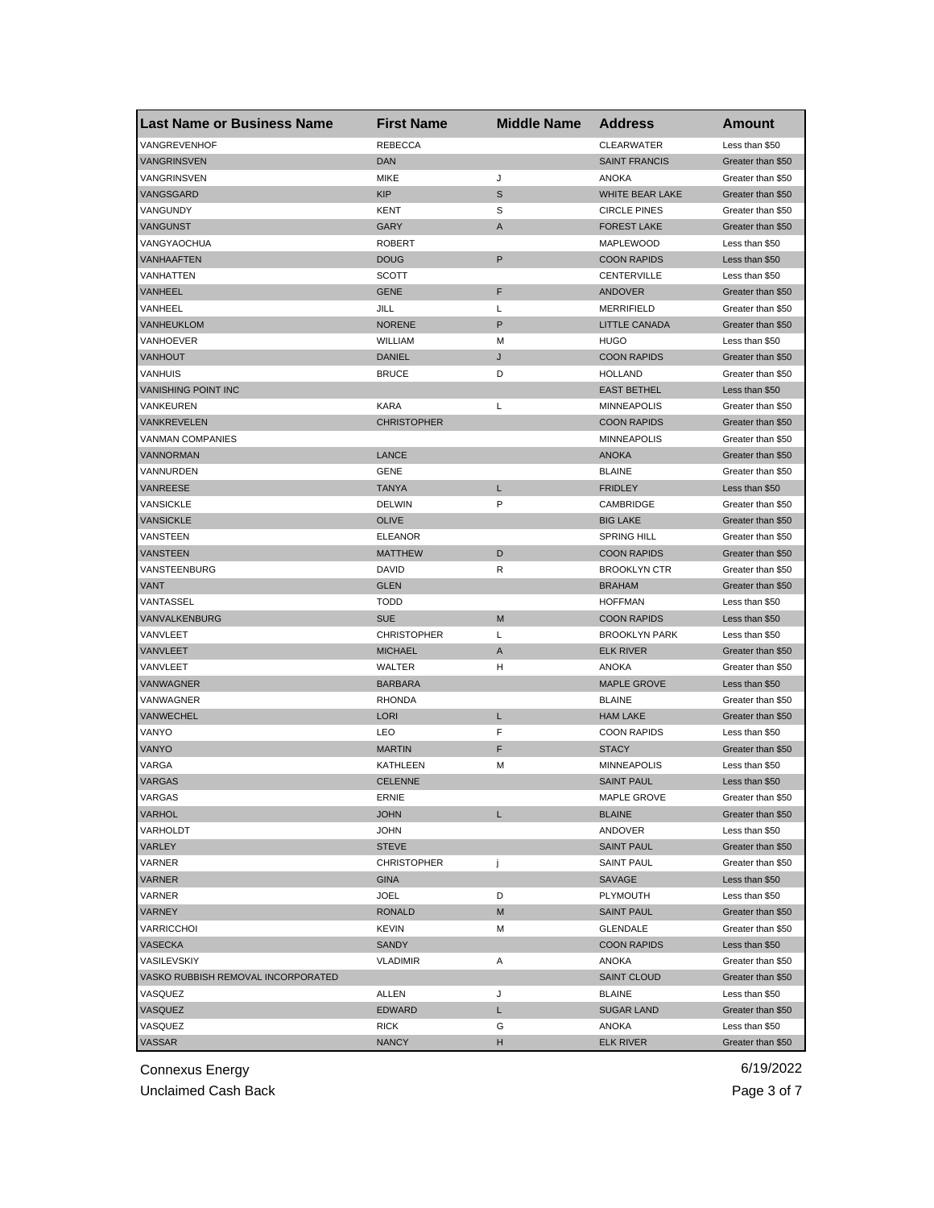| <b>Last Name or Business Name</b>  | <b>First Name</b>  | <b>Middle Name</b> | <b>Address</b>       | Amount            |
|------------------------------------|--------------------|--------------------|----------------------|-------------------|
| VANGREVENHOF                       | <b>REBECCA</b>     |                    | <b>CLEARWATER</b>    | Less than \$50    |
| <b>VANGRINSVEN</b>                 | <b>DAN</b>         |                    | <b>SAINT FRANCIS</b> | Greater than \$50 |
| VANGRINSVEN                        | <b>MIKE</b>        | J                  | <b>ANOKA</b>         | Greater than \$50 |
| VANGSGARD                          | <b>KIP</b>         | $\mathbb S$        | WHITE BEAR LAKE      | Greater than \$50 |
| VANGUNDY                           | KENT               | S                  | <b>CIRCLE PINES</b>  | Greater than \$50 |
| VANGUNST                           | <b>GARY</b>        | A                  | <b>FOREST LAKE</b>   | Greater than \$50 |
| VANGYAOCHUA                        | <b>ROBERT</b>      |                    | MAPLEWOOD            | Less than \$50    |
| <b>VANHAAFTEN</b>                  | <b>DOUG</b>        | P                  | <b>COON RAPIDS</b>   | Less than \$50    |
| VANHATTEN                          | <b>SCOTT</b>       |                    | CENTERVILLE          | Less than \$50    |
| <b>VANHEEL</b>                     | <b>GENE</b>        | F                  | ANDOVER              | Greater than \$50 |
| VANHEEL                            | JILL               | Г                  | <b>MERRIFIELD</b>    | Greater than \$50 |
| VANHEUKLOM                         | <b>NORENE</b>      | P                  | <b>LITTLE CANADA</b> | Greater than \$50 |
| VANHOEVER                          | WILLIAM            | М                  | <b>HUGO</b>          | Less than \$50    |
| VANHOUT                            | <b>DANIEL</b>      | J                  | <b>COON RAPIDS</b>   | Greater than \$50 |
| <b>VANHUIS</b>                     | <b>BRUCE</b>       | D                  | <b>HOLLAND</b>       | Greater than \$50 |
| <b>VANISHING POINT INC</b>         |                    |                    | <b>EAST BETHEL</b>   | Less than \$50    |
| VANKEUREN                          | <b>KARA</b>        | L                  | <b>MINNEAPOLIS</b>   | Greater than \$50 |
| <b>VANKREVELEN</b>                 | <b>CHRISTOPHER</b> |                    | <b>COON RAPIDS</b>   | Greater than \$50 |
| <b>VANMAN COMPANIES</b>            |                    |                    | <b>MINNEAPOLIS</b>   | Greater than \$50 |
| <b>VANNORMAN</b>                   | LANCE              |                    | <b>ANOKA</b>         | Greater than \$50 |
| VANNURDEN                          | GENE               |                    | <b>BLAINE</b>        | Greater than \$50 |
| <b>VANREESE</b>                    | <b>TANYA</b>       | L                  | <b>FRIDLEY</b>       | Less than \$50    |
| VANSICKLE                          | <b>DELWIN</b>      | P                  | CAMBRIDGE            | Greater than \$50 |
| <b>VANSICKLE</b>                   | <b>OLIVE</b>       |                    | <b>BIG LAKE</b>      | Greater than \$50 |
| VANSTEEN                           | <b>ELEANOR</b>     |                    | <b>SPRING HILL</b>   | Greater than \$50 |
| <b>VANSTEEN</b>                    | <b>MATTHEW</b>     | D                  | <b>COON RAPIDS</b>   | Greater than \$50 |
| VANSTEENBURG                       | DAVID              | R                  | <b>BROOKLYN CTR</b>  | Greater than \$50 |
| <b>VANT</b>                        | <b>GLEN</b>        |                    | <b>BRAHAM</b>        | Greater than \$50 |
| VANTASSEL                          | <b>TODD</b>        |                    | <b>HOFFMAN</b>       | Less than \$50    |
| VANVALKENBURG                      | <b>SUE</b>         | M                  | <b>COON RAPIDS</b>   | Less than \$50    |
| VANVLEET                           | <b>CHRISTOPHER</b> | Г                  | <b>BROOKLYN PARK</b> | Less than \$50    |
| VANVLEET                           | <b>MICHAEL</b>     | A                  | <b>ELK RIVER</b>     | Greater than \$50 |
| VANVLEET                           | WALTER             | н                  | ANOKA                | Greater than \$50 |
| <b>VANWAGNER</b>                   | <b>BARBARA</b>     |                    | <b>MAPLE GROVE</b>   | Less than \$50    |
| VANWAGNER                          | <b>RHONDA</b>      |                    | <b>BLAINE</b>        | Greater than \$50 |
| VANWECHEL                          | <b>LORI</b>        | L                  | <b>HAM LAKE</b>      | Greater than \$50 |
| VANYO                              | LEO                | F                  | <b>COON RAPIDS</b>   | Less than \$50    |
| VANYO                              | <b>MARTIN</b>      | F                  | <b>STACY</b>         | Greater than \$50 |
| VARGA                              | KATHLEEN           | М                  | <b>MINNEAPOLIS</b>   | Less than \$50    |
| <b>VARGAS</b>                      | <b>CELENNE</b>     |                    | <b>SAINT PAUL</b>    | Less than \$50    |
| VARGAS                             | ERNIE              |                    | MAPLE GROVE          | Greater than \$50 |
| VARHOL                             | <b>JOHN</b>        | L                  | <b>BLAINE</b>        | Greater than \$50 |
| VARHOLDT                           | <b>JOHN</b>        |                    | ANDOVER              | Less than \$50    |
| VARLEY                             | <b>STEVE</b>       |                    | <b>SAINT PAUL</b>    | Greater than \$50 |
| VARNER                             | <b>CHRISTOPHER</b> | j                  | <b>SAINT PAUL</b>    | Greater than \$50 |
| VARNER                             | <b>GINA</b>        |                    | SAVAGE               | Less than \$50    |
| VARNER                             | JOEL               | D                  | PLYMOUTH             | Less than \$50    |
| <b>VARNEY</b>                      | <b>RONALD</b>      | M                  | <b>SAINT PAUL</b>    | Greater than \$50 |
| VARRICCHOI                         | <b>KEVIN</b>       | М                  | <b>GLENDALE</b>      | Greater than \$50 |
| VASECKA                            | <b>SANDY</b>       |                    | <b>COON RAPIDS</b>   | Less than \$50    |
| VASILEVSKIY                        | <b>VLADIMIR</b>    | Α                  | ANOKA                | Greater than \$50 |
| VASKO RUBBISH REMOVAL INCORPORATED |                    |                    | <b>SAINT CLOUD</b>   | Greater than \$50 |
| VASQUEZ                            | ALLEN              | J                  | <b>BLAINE</b>        | Less than \$50    |
| VASQUEZ                            | <b>EDWARD</b>      | L                  | <b>SUGAR LAND</b>    | Greater than \$50 |
| VASQUEZ                            | RICK               | G                  | ANOKA                | Less than \$50    |
| VASSAR                             | <b>NANCY</b>       | H                  | <b>ELK RIVER</b>     | Greater than \$50 |
|                                    |                    |                    |                      |                   |

Unclaimed Cash Back **Page 3 of 7**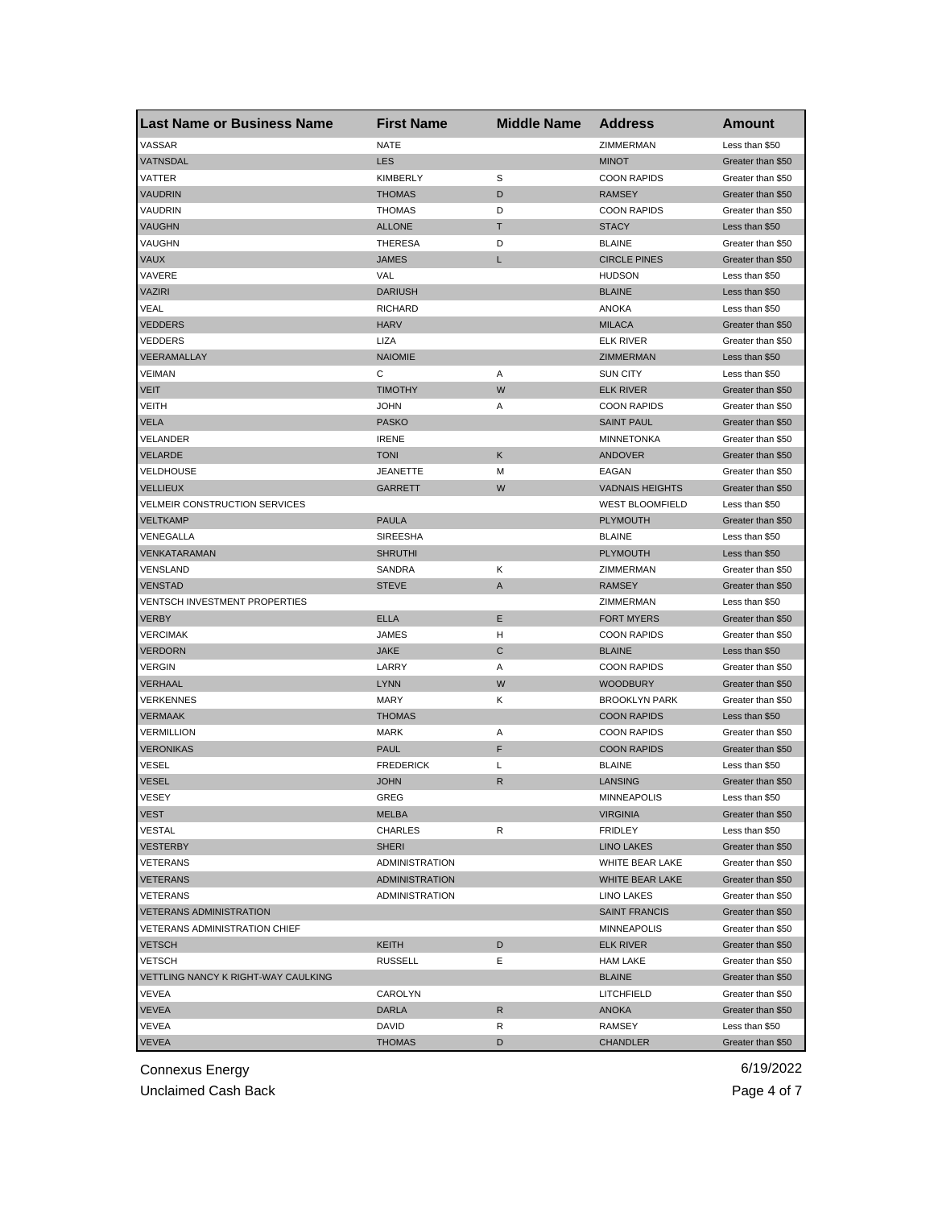| VASSAR<br><b>NATE</b><br>ZIMMERMAN<br>Less than \$50<br>VATNSDAL<br><b>LES</b><br><b>MINOT</b><br>Greater than \$50<br>VATTER<br><b>KIMBERLY</b><br>S<br><b>COON RAPIDS</b><br>Greater than \$50<br><b>VAUDRIN</b><br><b>THOMAS</b><br>D<br><b>RAMSEY</b><br>Greater than \$50<br>VAUDRIN<br><b>THOMAS</b><br>D<br><b>COON RAPIDS</b><br>Greater than \$50<br><b>VAUGHN</b><br>Τ<br><b>ALLONE</b><br><b>STACY</b><br>Less than \$50<br>VAUGHN<br><b>THERESA</b><br>D<br><b>BLAINE</b><br>Greater than \$50<br><b>VAUX</b><br><b>JAMES</b><br><b>CIRCLE PINES</b><br>L<br>Greater than \$50<br>VAVERE<br>VAL<br><b>HUDSON</b><br>Less than \$50<br><b>VAZIRI</b><br><b>DARIUSH</b><br><b>BLAINE</b><br>Less than \$50<br>VEAL<br><b>ANOKA</b><br><b>RICHARD</b><br>Less than \$50<br><b>VEDDERS</b><br><b>HARV</b><br><b>MILACA</b><br>Greater than \$50<br><b>VEDDERS</b><br>LIZA<br><b>ELK RIVER</b><br>Greater than \$50<br>VEERAMALLAY<br><b>NAIOMIE</b><br>ZIMMERMAN<br>Less than \$50<br><b>VEIMAN</b><br>С<br>Α<br><b>SUN CITY</b><br>Less than \$50<br>W<br><b>VEIT</b><br><b>TIMOTHY</b><br><b>ELK RIVER</b><br>Greater than \$50<br>VEITH<br><b>JOHN</b><br>Α<br><b>COON RAPIDS</b><br>Greater than \$50<br>VELA<br><b>PASKO</b><br><b>SAINT PAUL</b><br>Greater than \$50<br>VELANDER<br><b>IRENE</b><br><b>MINNETONKA</b><br>Greater than \$50<br>Κ<br>VELARDE<br><b>TONI</b><br><b>ANDOVER</b><br>Greater than \$50<br>VELDHOUSE<br><b>JEANETTE</b><br>М<br>EAGAN<br>Greater than \$50<br><b>VELLIEUX</b><br>GARRETT<br>W<br><b>VADNAIS HEIGHTS</b><br>Greater than \$50<br>VELMEIR CONSTRUCTION SERVICES<br><b>WEST BLOOMFIELD</b><br>Less than \$50<br>VELTKAMP<br><b>PAULA</b><br><b>PLYMOUTH</b><br>Greater than \$50<br>VENEGALLA<br><b>SIREESHA</b><br><b>BLAINE</b><br>Less than \$50<br>VENKATARAMAN<br><b>SHRUTHI</b><br><b>PLYMOUTH</b><br>Less than \$50<br>Κ<br>VENSLAND<br>SANDRA<br>ZIMMERMAN<br>Greater than \$50<br><b>VENSTAD</b><br><b>STEVE</b><br>A<br><b>RAMSEY</b><br>Greater than \$50<br><b>VENTSCH INVESTMENT PROPERTIES</b><br>ZIMMERMAN<br>Less than \$50<br><b>ELLA</b><br>Ε<br>VERBY<br><b>FORT MYERS</b><br>Greater than \$50<br><b>VERCIMAK</b><br><b>JAMES</b><br>н<br><b>COON RAPIDS</b><br>Greater than \$50<br>С<br><b>VERDORN</b><br><b>JAKE</b><br><b>BLAINE</b><br>Less than \$50<br><b>VERGIN</b><br>LARRY<br><b>COON RAPIDS</b><br>Α<br>Greater than \$50<br>W<br>VERHAAL<br><b>LYNN</b><br><b>WOODBURY</b><br>Greater than \$50<br><b>VERKENNES</b><br><b>MARY</b><br>Κ<br><b>BROOKLYN PARK</b><br>Greater than \$50<br><b>VERMAAK</b><br><b>THOMAS</b><br><b>COON RAPIDS</b><br>Less than \$50 | <b>Last Name or Business Name</b> | <b>First Name</b> | <b>Middle Name</b> | <b>Address</b> | Amount |
|------------------------------------------------------------------------------------------------------------------------------------------------------------------------------------------------------------------------------------------------------------------------------------------------------------------------------------------------------------------------------------------------------------------------------------------------------------------------------------------------------------------------------------------------------------------------------------------------------------------------------------------------------------------------------------------------------------------------------------------------------------------------------------------------------------------------------------------------------------------------------------------------------------------------------------------------------------------------------------------------------------------------------------------------------------------------------------------------------------------------------------------------------------------------------------------------------------------------------------------------------------------------------------------------------------------------------------------------------------------------------------------------------------------------------------------------------------------------------------------------------------------------------------------------------------------------------------------------------------------------------------------------------------------------------------------------------------------------------------------------------------------------------------------------------------------------------------------------------------------------------------------------------------------------------------------------------------------------------------------------------------------------------------------------------------------------------------------------------------------------------------------------------------------------------------------------------------------------------------------------------------------------------------------------------------------------------------------------------------------------------------------------------------------------------------------------------------------------------------------------------------------------------------------------------------------------------------------------------------------------------------------------------|-----------------------------------|-------------------|--------------------|----------------|--------|
|                                                                                                                                                                                                                                                                                                                                                                                                                                                                                                                                                                                                                                                                                                                                                                                                                                                                                                                                                                                                                                                                                                                                                                                                                                                                                                                                                                                                                                                                                                                                                                                                                                                                                                                                                                                                                                                                                                                                                                                                                                                                                                                                                                                                                                                                                                                                                                                                                                                                                                                                                                                                                                                      |                                   |                   |                    |                |        |
|                                                                                                                                                                                                                                                                                                                                                                                                                                                                                                                                                                                                                                                                                                                                                                                                                                                                                                                                                                                                                                                                                                                                                                                                                                                                                                                                                                                                                                                                                                                                                                                                                                                                                                                                                                                                                                                                                                                                                                                                                                                                                                                                                                                                                                                                                                                                                                                                                                                                                                                                                                                                                                                      |                                   |                   |                    |                |        |
|                                                                                                                                                                                                                                                                                                                                                                                                                                                                                                                                                                                                                                                                                                                                                                                                                                                                                                                                                                                                                                                                                                                                                                                                                                                                                                                                                                                                                                                                                                                                                                                                                                                                                                                                                                                                                                                                                                                                                                                                                                                                                                                                                                                                                                                                                                                                                                                                                                                                                                                                                                                                                                                      |                                   |                   |                    |                |        |
|                                                                                                                                                                                                                                                                                                                                                                                                                                                                                                                                                                                                                                                                                                                                                                                                                                                                                                                                                                                                                                                                                                                                                                                                                                                                                                                                                                                                                                                                                                                                                                                                                                                                                                                                                                                                                                                                                                                                                                                                                                                                                                                                                                                                                                                                                                                                                                                                                                                                                                                                                                                                                                                      |                                   |                   |                    |                |        |
|                                                                                                                                                                                                                                                                                                                                                                                                                                                                                                                                                                                                                                                                                                                                                                                                                                                                                                                                                                                                                                                                                                                                                                                                                                                                                                                                                                                                                                                                                                                                                                                                                                                                                                                                                                                                                                                                                                                                                                                                                                                                                                                                                                                                                                                                                                                                                                                                                                                                                                                                                                                                                                                      |                                   |                   |                    |                |        |
|                                                                                                                                                                                                                                                                                                                                                                                                                                                                                                                                                                                                                                                                                                                                                                                                                                                                                                                                                                                                                                                                                                                                                                                                                                                                                                                                                                                                                                                                                                                                                                                                                                                                                                                                                                                                                                                                                                                                                                                                                                                                                                                                                                                                                                                                                                                                                                                                                                                                                                                                                                                                                                                      |                                   |                   |                    |                |        |
|                                                                                                                                                                                                                                                                                                                                                                                                                                                                                                                                                                                                                                                                                                                                                                                                                                                                                                                                                                                                                                                                                                                                                                                                                                                                                                                                                                                                                                                                                                                                                                                                                                                                                                                                                                                                                                                                                                                                                                                                                                                                                                                                                                                                                                                                                                                                                                                                                                                                                                                                                                                                                                                      |                                   |                   |                    |                |        |
|                                                                                                                                                                                                                                                                                                                                                                                                                                                                                                                                                                                                                                                                                                                                                                                                                                                                                                                                                                                                                                                                                                                                                                                                                                                                                                                                                                                                                                                                                                                                                                                                                                                                                                                                                                                                                                                                                                                                                                                                                                                                                                                                                                                                                                                                                                                                                                                                                                                                                                                                                                                                                                                      |                                   |                   |                    |                |        |
|                                                                                                                                                                                                                                                                                                                                                                                                                                                                                                                                                                                                                                                                                                                                                                                                                                                                                                                                                                                                                                                                                                                                                                                                                                                                                                                                                                                                                                                                                                                                                                                                                                                                                                                                                                                                                                                                                                                                                                                                                                                                                                                                                                                                                                                                                                                                                                                                                                                                                                                                                                                                                                                      |                                   |                   |                    |                |        |
|                                                                                                                                                                                                                                                                                                                                                                                                                                                                                                                                                                                                                                                                                                                                                                                                                                                                                                                                                                                                                                                                                                                                                                                                                                                                                                                                                                                                                                                                                                                                                                                                                                                                                                                                                                                                                                                                                                                                                                                                                                                                                                                                                                                                                                                                                                                                                                                                                                                                                                                                                                                                                                                      |                                   |                   |                    |                |        |
|                                                                                                                                                                                                                                                                                                                                                                                                                                                                                                                                                                                                                                                                                                                                                                                                                                                                                                                                                                                                                                                                                                                                                                                                                                                                                                                                                                                                                                                                                                                                                                                                                                                                                                                                                                                                                                                                                                                                                                                                                                                                                                                                                                                                                                                                                                                                                                                                                                                                                                                                                                                                                                                      |                                   |                   |                    |                |        |
|                                                                                                                                                                                                                                                                                                                                                                                                                                                                                                                                                                                                                                                                                                                                                                                                                                                                                                                                                                                                                                                                                                                                                                                                                                                                                                                                                                                                                                                                                                                                                                                                                                                                                                                                                                                                                                                                                                                                                                                                                                                                                                                                                                                                                                                                                                                                                                                                                                                                                                                                                                                                                                                      |                                   |                   |                    |                |        |
|                                                                                                                                                                                                                                                                                                                                                                                                                                                                                                                                                                                                                                                                                                                                                                                                                                                                                                                                                                                                                                                                                                                                                                                                                                                                                                                                                                                                                                                                                                                                                                                                                                                                                                                                                                                                                                                                                                                                                                                                                                                                                                                                                                                                                                                                                                                                                                                                                                                                                                                                                                                                                                                      |                                   |                   |                    |                |        |
|                                                                                                                                                                                                                                                                                                                                                                                                                                                                                                                                                                                                                                                                                                                                                                                                                                                                                                                                                                                                                                                                                                                                                                                                                                                                                                                                                                                                                                                                                                                                                                                                                                                                                                                                                                                                                                                                                                                                                                                                                                                                                                                                                                                                                                                                                                                                                                                                                                                                                                                                                                                                                                                      |                                   |                   |                    |                |        |
|                                                                                                                                                                                                                                                                                                                                                                                                                                                                                                                                                                                                                                                                                                                                                                                                                                                                                                                                                                                                                                                                                                                                                                                                                                                                                                                                                                                                                                                                                                                                                                                                                                                                                                                                                                                                                                                                                                                                                                                                                                                                                                                                                                                                                                                                                                                                                                                                                                                                                                                                                                                                                                                      |                                   |                   |                    |                |        |
|                                                                                                                                                                                                                                                                                                                                                                                                                                                                                                                                                                                                                                                                                                                                                                                                                                                                                                                                                                                                                                                                                                                                                                                                                                                                                                                                                                                                                                                                                                                                                                                                                                                                                                                                                                                                                                                                                                                                                                                                                                                                                                                                                                                                                                                                                                                                                                                                                                                                                                                                                                                                                                                      |                                   |                   |                    |                |        |
|                                                                                                                                                                                                                                                                                                                                                                                                                                                                                                                                                                                                                                                                                                                                                                                                                                                                                                                                                                                                                                                                                                                                                                                                                                                                                                                                                                                                                                                                                                                                                                                                                                                                                                                                                                                                                                                                                                                                                                                                                                                                                                                                                                                                                                                                                                                                                                                                                                                                                                                                                                                                                                                      |                                   |                   |                    |                |        |
|                                                                                                                                                                                                                                                                                                                                                                                                                                                                                                                                                                                                                                                                                                                                                                                                                                                                                                                                                                                                                                                                                                                                                                                                                                                                                                                                                                                                                                                                                                                                                                                                                                                                                                                                                                                                                                                                                                                                                                                                                                                                                                                                                                                                                                                                                                                                                                                                                                                                                                                                                                                                                                                      |                                   |                   |                    |                |        |
|                                                                                                                                                                                                                                                                                                                                                                                                                                                                                                                                                                                                                                                                                                                                                                                                                                                                                                                                                                                                                                                                                                                                                                                                                                                                                                                                                                                                                                                                                                                                                                                                                                                                                                                                                                                                                                                                                                                                                                                                                                                                                                                                                                                                                                                                                                                                                                                                                                                                                                                                                                                                                                                      |                                   |                   |                    |                |        |
|                                                                                                                                                                                                                                                                                                                                                                                                                                                                                                                                                                                                                                                                                                                                                                                                                                                                                                                                                                                                                                                                                                                                                                                                                                                                                                                                                                                                                                                                                                                                                                                                                                                                                                                                                                                                                                                                                                                                                                                                                                                                                                                                                                                                                                                                                                                                                                                                                                                                                                                                                                                                                                                      |                                   |                   |                    |                |        |
|                                                                                                                                                                                                                                                                                                                                                                                                                                                                                                                                                                                                                                                                                                                                                                                                                                                                                                                                                                                                                                                                                                                                                                                                                                                                                                                                                                                                                                                                                                                                                                                                                                                                                                                                                                                                                                                                                                                                                                                                                                                                                                                                                                                                                                                                                                                                                                                                                                                                                                                                                                                                                                                      |                                   |                   |                    |                |        |
|                                                                                                                                                                                                                                                                                                                                                                                                                                                                                                                                                                                                                                                                                                                                                                                                                                                                                                                                                                                                                                                                                                                                                                                                                                                                                                                                                                                                                                                                                                                                                                                                                                                                                                                                                                                                                                                                                                                                                                                                                                                                                                                                                                                                                                                                                                                                                                                                                                                                                                                                                                                                                                                      |                                   |                   |                    |                |        |
|                                                                                                                                                                                                                                                                                                                                                                                                                                                                                                                                                                                                                                                                                                                                                                                                                                                                                                                                                                                                                                                                                                                                                                                                                                                                                                                                                                                                                                                                                                                                                                                                                                                                                                                                                                                                                                                                                                                                                                                                                                                                                                                                                                                                                                                                                                                                                                                                                                                                                                                                                                                                                                                      |                                   |                   |                    |                |        |
|                                                                                                                                                                                                                                                                                                                                                                                                                                                                                                                                                                                                                                                                                                                                                                                                                                                                                                                                                                                                                                                                                                                                                                                                                                                                                                                                                                                                                                                                                                                                                                                                                                                                                                                                                                                                                                                                                                                                                                                                                                                                                                                                                                                                                                                                                                                                                                                                                                                                                                                                                                                                                                                      |                                   |                   |                    |                |        |
|                                                                                                                                                                                                                                                                                                                                                                                                                                                                                                                                                                                                                                                                                                                                                                                                                                                                                                                                                                                                                                                                                                                                                                                                                                                                                                                                                                                                                                                                                                                                                                                                                                                                                                                                                                                                                                                                                                                                                                                                                                                                                                                                                                                                                                                                                                                                                                                                                                                                                                                                                                                                                                                      |                                   |                   |                    |                |        |
|                                                                                                                                                                                                                                                                                                                                                                                                                                                                                                                                                                                                                                                                                                                                                                                                                                                                                                                                                                                                                                                                                                                                                                                                                                                                                                                                                                                                                                                                                                                                                                                                                                                                                                                                                                                                                                                                                                                                                                                                                                                                                                                                                                                                                                                                                                                                                                                                                                                                                                                                                                                                                                                      |                                   |                   |                    |                |        |
|                                                                                                                                                                                                                                                                                                                                                                                                                                                                                                                                                                                                                                                                                                                                                                                                                                                                                                                                                                                                                                                                                                                                                                                                                                                                                                                                                                                                                                                                                                                                                                                                                                                                                                                                                                                                                                                                                                                                                                                                                                                                                                                                                                                                                                                                                                                                                                                                                                                                                                                                                                                                                                                      |                                   |                   |                    |                |        |
|                                                                                                                                                                                                                                                                                                                                                                                                                                                                                                                                                                                                                                                                                                                                                                                                                                                                                                                                                                                                                                                                                                                                                                                                                                                                                                                                                                                                                                                                                                                                                                                                                                                                                                                                                                                                                                                                                                                                                                                                                                                                                                                                                                                                                                                                                                                                                                                                                                                                                                                                                                                                                                                      |                                   |                   |                    |                |        |
|                                                                                                                                                                                                                                                                                                                                                                                                                                                                                                                                                                                                                                                                                                                                                                                                                                                                                                                                                                                                                                                                                                                                                                                                                                                                                                                                                                                                                                                                                                                                                                                                                                                                                                                                                                                                                                                                                                                                                                                                                                                                                                                                                                                                                                                                                                                                                                                                                                                                                                                                                                                                                                                      |                                   |                   |                    |                |        |
|                                                                                                                                                                                                                                                                                                                                                                                                                                                                                                                                                                                                                                                                                                                                                                                                                                                                                                                                                                                                                                                                                                                                                                                                                                                                                                                                                                                                                                                                                                                                                                                                                                                                                                                                                                                                                                                                                                                                                                                                                                                                                                                                                                                                                                                                                                                                                                                                                                                                                                                                                                                                                                                      |                                   |                   |                    |                |        |
|                                                                                                                                                                                                                                                                                                                                                                                                                                                                                                                                                                                                                                                                                                                                                                                                                                                                                                                                                                                                                                                                                                                                                                                                                                                                                                                                                                                                                                                                                                                                                                                                                                                                                                                                                                                                                                                                                                                                                                                                                                                                                                                                                                                                                                                                                                                                                                                                                                                                                                                                                                                                                                                      |                                   |                   |                    |                |        |
|                                                                                                                                                                                                                                                                                                                                                                                                                                                                                                                                                                                                                                                                                                                                                                                                                                                                                                                                                                                                                                                                                                                                                                                                                                                                                                                                                                                                                                                                                                                                                                                                                                                                                                                                                                                                                                                                                                                                                                                                                                                                                                                                                                                                                                                                                                                                                                                                                                                                                                                                                                                                                                                      |                                   |                   |                    |                |        |
|                                                                                                                                                                                                                                                                                                                                                                                                                                                                                                                                                                                                                                                                                                                                                                                                                                                                                                                                                                                                                                                                                                                                                                                                                                                                                                                                                                                                                                                                                                                                                                                                                                                                                                                                                                                                                                                                                                                                                                                                                                                                                                                                                                                                                                                                                                                                                                                                                                                                                                                                                                                                                                                      |                                   |                   |                    |                |        |
|                                                                                                                                                                                                                                                                                                                                                                                                                                                                                                                                                                                                                                                                                                                                                                                                                                                                                                                                                                                                                                                                                                                                                                                                                                                                                                                                                                                                                                                                                                                                                                                                                                                                                                                                                                                                                                                                                                                                                                                                                                                                                                                                                                                                                                                                                                                                                                                                                                                                                                                                                                                                                                                      |                                   |                   |                    |                |        |
|                                                                                                                                                                                                                                                                                                                                                                                                                                                                                                                                                                                                                                                                                                                                                                                                                                                                                                                                                                                                                                                                                                                                                                                                                                                                                                                                                                                                                                                                                                                                                                                                                                                                                                                                                                                                                                                                                                                                                                                                                                                                                                                                                                                                                                                                                                                                                                                                                                                                                                                                                                                                                                                      |                                   |                   |                    |                |        |
|                                                                                                                                                                                                                                                                                                                                                                                                                                                                                                                                                                                                                                                                                                                                                                                                                                                                                                                                                                                                                                                                                                                                                                                                                                                                                                                                                                                                                                                                                                                                                                                                                                                                                                                                                                                                                                                                                                                                                                                                                                                                                                                                                                                                                                                                                                                                                                                                                                                                                                                                                                                                                                                      |                                   |                   |                    |                |        |
| VERMILLION<br><b>MARK</b><br>Α<br><b>COON RAPIDS</b><br>Greater than \$50                                                                                                                                                                                                                                                                                                                                                                                                                                                                                                                                                                                                                                                                                                                                                                                                                                                                                                                                                                                                                                                                                                                                                                                                                                                                                                                                                                                                                                                                                                                                                                                                                                                                                                                                                                                                                                                                                                                                                                                                                                                                                                                                                                                                                                                                                                                                                                                                                                                                                                                                                                            |                                   |                   |                    |                |        |
| F<br><b>VERONIKAS</b><br><b>PAUL</b><br><b>COON RAPIDS</b><br>Greater than \$50                                                                                                                                                                                                                                                                                                                                                                                                                                                                                                                                                                                                                                                                                                                                                                                                                                                                                                                                                                                                                                                                                                                                                                                                                                                                                                                                                                                                                                                                                                                                                                                                                                                                                                                                                                                                                                                                                                                                                                                                                                                                                                                                                                                                                                                                                                                                                                                                                                                                                                                                                                      |                                   |                   |                    |                |        |
| <b>VESEL</b><br><b>FREDERICK</b><br>Г<br><b>BLAINE</b><br>Less than \$50                                                                                                                                                                                                                                                                                                                                                                                                                                                                                                                                                                                                                                                                                                                                                                                                                                                                                                                                                                                                                                                                                                                                                                                                                                                                                                                                                                                                                                                                                                                                                                                                                                                                                                                                                                                                                                                                                                                                                                                                                                                                                                                                                                                                                                                                                                                                                                                                                                                                                                                                                                             |                                   |                   |                    |                |        |
| <b>VESEL</b><br><b>JOHN</b><br>R<br>LANSING<br>Greater than \$50                                                                                                                                                                                                                                                                                                                                                                                                                                                                                                                                                                                                                                                                                                                                                                                                                                                                                                                                                                                                                                                                                                                                                                                                                                                                                                                                                                                                                                                                                                                                                                                                                                                                                                                                                                                                                                                                                                                                                                                                                                                                                                                                                                                                                                                                                                                                                                                                                                                                                                                                                                                     |                                   |                   |                    |                |        |
| <b>VESEY</b><br>GREG<br><b>MINNEAPOLIS</b><br>Less than \$50                                                                                                                                                                                                                                                                                                                                                                                                                                                                                                                                                                                                                                                                                                                                                                                                                                                                                                                                                                                                                                                                                                                                                                                                                                                                                                                                                                                                                                                                                                                                                                                                                                                                                                                                                                                                                                                                                                                                                                                                                                                                                                                                                                                                                                                                                                                                                                                                                                                                                                                                                                                         |                                   |                   |                    |                |        |
| <b>VEST</b><br>MELBA<br><b>VIRGINIA</b><br>Greater than \$50                                                                                                                                                                                                                                                                                                                                                                                                                                                                                                                                                                                                                                                                                                                                                                                                                                                                                                                                                                                                                                                                                                                                                                                                                                                                                                                                                                                                                                                                                                                                                                                                                                                                                                                                                                                                                                                                                                                                                                                                                                                                                                                                                                                                                                                                                                                                                                                                                                                                                                                                                                                         |                                   |                   |                    |                |        |
| VESTAL<br><b>CHARLES</b><br>R<br><b>FRIDLEY</b><br>Less than \$50                                                                                                                                                                                                                                                                                                                                                                                                                                                                                                                                                                                                                                                                                                                                                                                                                                                                                                                                                                                                                                                                                                                                                                                                                                                                                                                                                                                                                                                                                                                                                                                                                                                                                                                                                                                                                                                                                                                                                                                                                                                                                                                                                                                                                                                                                                                                                                                                                                                                                                                                                                                    |                                   |                   |                    |                |        |
| <b>VESTERBY</b><br><b>SHERI</b><br><b>LINO LAKES</b><br>Greater than \$50                                                                                                                                                                                                                                                                                                                                                                                                                                                                                                                                                                                                                                                                                                                                                                                                                                                                                                                                                                                                                                                                                                                                                                                                                                                                                                                                                                                                                                                                                                                                                                                                                                                                                                                                                                                                                                                                                                                                                                                                                                                                                                                                                                                                                                                                                                                                                                                                                                                                                                                                                                            |                                   |                   |                    |                |        |
| VETERANS<br>WHITE BEAR LAKE<br>Greater than \$50<br><b>ADMINISTRATION</b>                                                                                                                                                                                                                                                                                                                                                                                                                                                                                                                                                                                                                                                                                                                                                                                                                                                                                                                                                                                                                                                                                                                                                                                                                                                                                                                                                                                                                                                                                                                                                                                                                                                                                                                                                                                                                                                                                                                                                                                                                                                                                                                                                                                                                                                                                                                                                                                                                                                                                                                                                                            |                                   |                   |                    |                |        |
| <b>VETERANS</b><br><b>ADMINISTRATION</b><br>WHITE BEAR LAKE<br>Greater than \$50                                                                                                                                                                                                                                                                                                                                                                                                                                                                                                                                                                                                                                                                                                                                                                                                                                                                                                                                                                                                                                                                                                                                                                                                                                                                                                                                                                                                                                                                                                                                                                                                                                                                                                                                                                                                                                                                                                                                                                                                                                                                                                                                                                                                                                                                                                                                                                                                                                                                                                                                                                     |                                   |                   |                    |                |        |
| <b>VETERANS</b><br><b>ADMINISTRATION</b><br><b>LINO LAKES</b><br>Greater than \$50                                                                                                                                                                                                                                                                                                                                                                                                                                                                                                                                                                                                                                                                                                                                                                                                                                                                                                                                                                                                                                                                                                                                                                                                                                                                                                                                                                                                                                                                                                                                                                                                                                                                                                                                                                                                                                                                                                                                                                                                                                                                                                                                                                                                                                                                                                                                                                                                                                                                                                                                                                   |                                   |                   |                    |                |        |
| <b>VETERANS ADMINISTRATION</b><br><b>SAINT FRANCIS</b><br>Greater than \$50                                                                                                                                                                                                                                                                                                                                                                                                                                                                                                                                                                                                                                                                                                                                                                                                                                                                                                                                                                                                                                                                                                                                                                                                                                                                                                                                                                                                                                                                                                                                                                                                                                                                                                                                                                                                                                                                                                                                                                                                                                                                                                                                                                                                                                                                                                                                                                                                                                                                                                                                                                          |                                   |                   |                    |                |        |
| VETERANS ADMINISTRATION CHIEF<br>Greater than \$50<br><b>MINNEAPOLIS</b>                                                                                                                                                                                                                                                                                                                                                                                                                                                                                                                                                                                                                                                                                                                                                                                                                                                                                                                                                                                                                                                                                                                                                                                                                                                                                                                                                                                                                                                                                                                                                                                                                                                                                                                                                                                                                                                                                                                                                                                                                                                                                                                                                                                                                                                                                                                                                                                                                                                                                                                                                                             |                                   |                   |                    |                |        |
| <b>VETSCH</b><br>KEITH<br>D<br><b>ELK RIVER</b><br>Greater than \$50                                                                                                                                                                                                                                                                                                                                                                                                                                                                                                                                                                                                                                                                                                                                                                                                                                                                                                                                                                                                                                                                                                                                                                                                                                                                                                                                                                                                                                                                                                                                                                                                                                                                                                                                                                                                                                                                                                                                                                                                                                                                                                                                                                                                                                                                                                                                                                                                                                                                                                                                                                                 |                                   |                   |                    |                |        |
| Е<br><b>VETSCH</b><br><b>RUSSELL</b><br><b>HAM LAKE</b><br>Greater than \$50                                                                                                                                                                                                                                                                                                                                                                                                                                                                                                                                                                                                                                                                                                                                                                                                                                                                                                                                                                                                                                                                                                                                                                                                                                                                                                                                                                                                                                                                                                                                                                                                                                                                                                                                                                                                                                                                                                                                                                                                                                                                                                                                                                                                                                                                                                                                                                                                                                                                                                                                                                         |                                   |                   |                    |                |        |
| VETTLING NANCY K RIGHT-WAY CAULKING<br><b>BLAINE</b><br>Greater than \$50                                                                                                                                                                                                                                                                                                                                                                                                                                                                                                                                                                                                                                                                                                                                                                                                                                                                                                                                                                                                                                                                                                                                                                                                                                                                                                                                                                                                                                                                                                                                                                                                                                                                                                                                                                                                                                                                                                                                                                                                                                                                                                                                                                                                                                                                                                                                                                                                                                                                                                                                                                            |                                   |                   |                    |                |        |
| VEVEA<br>CAROLYN<br>LITCHFIELD<br>Greater than \$50                                                                                                                                                                                                                                                                                                                                                                                                                                                                                                                                                                                                                                                                                                                                                                                                                                                                                                                                                                                                                                                                                                                                                                                                                                                                                                                                                                                                                                                                                                                                                                                                                                                                                                                                                                                                                                                                                                                                                                                                                                                                                                                                                                                                                                                                                                                                                                                                                                                                                                                                                                                                  |                                   |                   |                    |                |        |
| VEVEA<br><b>DARLA</b><br>R<br><b>ANOKA</b><br>Greater than \$50                                                                                                                                                                                                                                                                                                                                                                                                                                                                                                                                                                                                                                                                                                                                                                                                                                                                                                                                                                                                                                                                                                                                                                                                                                                                                                                                                                                                                                                                                                                                                                                                                                                                                                                                                                                                                                                                                                                                                                                                                                                                                                                                                                                                                                                                                                                                                                                                                                                                                                                                                                                      |                                   |                   |                    |                |        |
| VEVEA<br><b>DAVID</b><br>R<br><b>RAMSEY</b><br>Less than \$50                                                                                                                                                                                                                                                                                                                                                                                                                                                                                                                                                                                                                                                                                                                                                                                                                                                                                                                                                                                                                                                                                                                                                                                                                                                                                                                                                                                                                                                                                                                                                                                                                                                                                                                                                                                                                                                                                                                                                                                                                                                                                                                                                                                                                                                                                                                                                                                                                                                                                                                                                                                        |                                   |                   |                    |                |        |
| <b>VEVEA</b><br><b>THOMAS</b><br>D<br><b>CHANDLER</b><br>Greater than \$50                                                                                                                                                                                                                                                                                                                                                                                                                                                                                                                                                                                                                                                                                                                                                                                                                                                                                                                                                                                                                                                                                                                                                                                                                                                                                                                                                                                                                                                                                                                                                                                                                                                                                                                                                                                                                                                                                                                                                                                                                                                                                                                                                                                                                                                                                                                                                                                                                                                                                                                                                                           |                                   |                   |                    |                |        |

Unclaimed Cash Back **Page 4 of 7**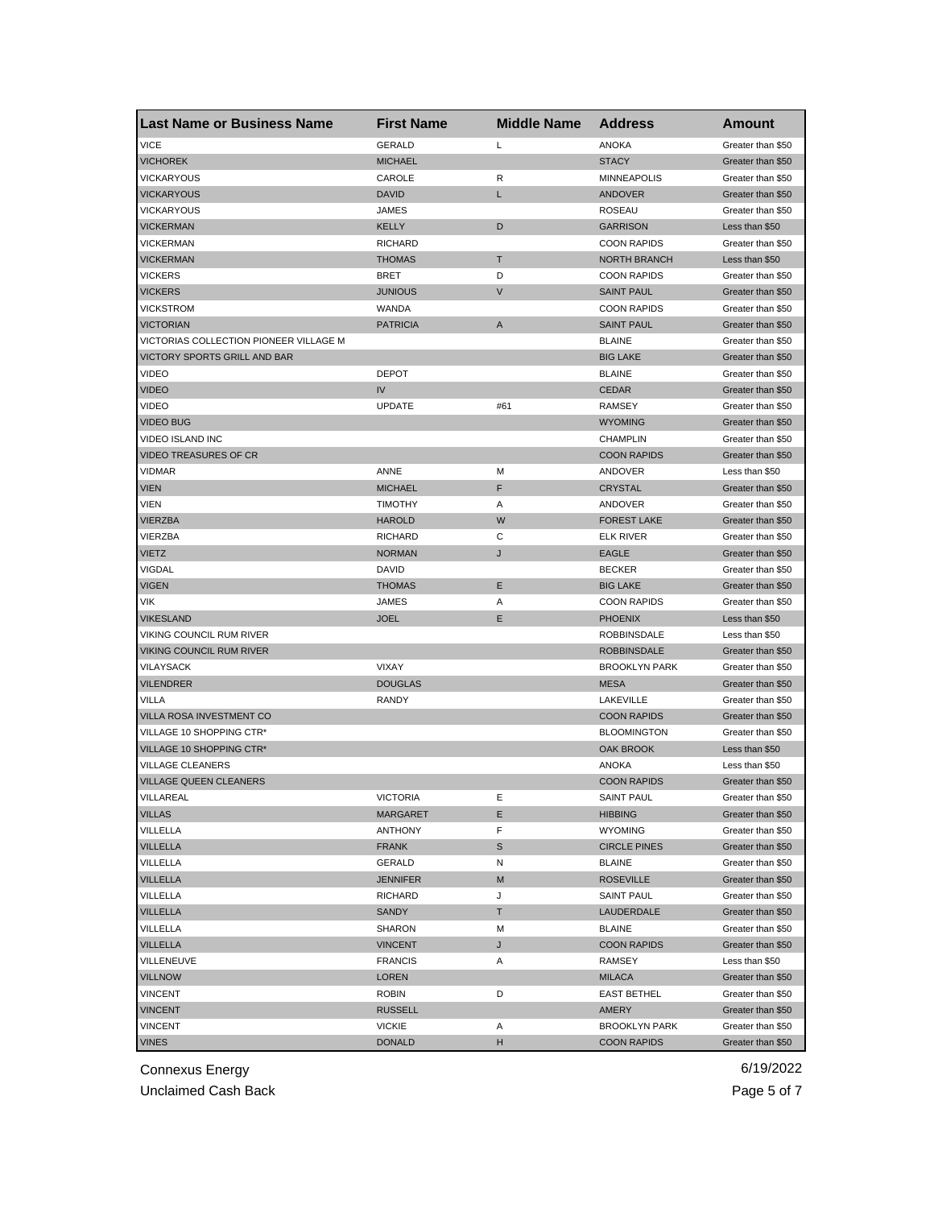| <b>Last Name or Business Name</b>                 | <b>First Name</b> | <b>Middle Name</b> | <b>Address</b>       | <b>Amount</b>     |
|---------------------------------------------------|-------------------|--------------------|----------------------|-------------------|
| <b>VICE</b>                                       | <b>GERALD</b>     | Г                  | <b>ANOKA</b>         | Greater than \$50 |
| <b>VICHOREK</b>                                   | <b>MICHAEL</b>    |                    | <b>STACY</b>         | Greater than \$50 |
| VICKARYOUS                                        | CAROLE            | R                  | <b>MINNEAPOLIS</b>   | Greater than \$50 |
| <b>VICKARYOUS</b>                                 | <b>DAVID</b>      | L                  | <b>ANDOVER</b>       | Greater than \$50 |
| <b>VICKARYOUS</b>                                 | <b>JAMES</b>      |                    | <b>ROSEAU</b>        | Greater than \$50 |
| <b>VICKERMAN</b>                                  | <b>KELLY</b>      | D                  | <b>GARRISON</b>      | Less than \$50    |
| <b>VICKERMAN</b>                                  | <b>RICHARD</b>    |                    | <b>COON RAPIDS</b>   | Greater than \$50 |
| <b>VICKERMAN</b>                                  | <b>THOMAS</b>     | Τ                  | <b>NORTH BRANCH</b>  | Less than \$50    |
| <b>VICKERS</b>                                    | <b>BRET</b>       | D                  | <b>COON RAPIDS</b>   | Greater than \$50 |
| <b>VICKERS</b>                                    | <b>JUNIOUS</b>    | $\vee$             | <b>SAINT PAUL</b>    | Greater than \$50 |
| <b>VICKSTROM</b>                                  | WANDA             |                    | <b>COON RAPIDS</b>   | Greater than \$50 |
| <b>VICTORIAN</b>                                  | <b>PATRICIA</b>   | A                  | <b>SAINT PAUL</b>    | Greater than \$50 |
| VICTORIAS COLLECTION PIONEER VILLAGE M            |                   |                    | <b>BLAINE</b>        | Greater than \$50 |
| VICTORY SPORTS GRILL AND BAR                      |                   |                    | <b>BIG LAKE</b>      | Greater than \$50 |
| <b>VIDEO</b>                                      | <b>DEPOT</b>      |                    | <b>BLAINE</b>        | Greater than \$50 |
| <b>VIDEO</b>                                      | IV                |                    | <b>CEDAR</b>         | Greater than \$50 |
| <b>VIDEO</b>                                      | <b>UPDATE</b>     | #61                | <b>RAMSEY</b>        | Greater than \$50 |
| <b>VIDEO BUG</b>                                  |                   |                    | <b>WYOMING</b>       | Greater than \$50 |
| VIDEO ISLAND INC                                  |                   |                    | <b>CHAMPLIN</b>      | Greater than \$50 |
| <b>VIDEO TREASURES OF CR</b>                      |                   |                    | <b>COON RAPIDS</b>   | Greater than \$50 |
| VIDMAR                                            | ANNE              | M                  | ANDOVER              | Less than \$50    |
| <b>VIEN</b>                                       | <b>MICHAEL</b>    | F                  | <b>CRYSTAL</b>       | Greater than \$50 |
| VIEN                                              | <b>TIMOTHY</b>    | Α                  | ANDOVER              | Greater than \$50 |
| <b>VIERZBA</b>                                    | <b>HAROLD</b>     | W                  | <b>FOREST LAKE</b>   | Greater than \$50 |
| VIERZBA                                           | <b>RICHARD</b>    | С                  | <b>ELK RIVER</b>     | Greater than \$50 |
| <b>VIETZ</b>                                      | <b>NORMAN</b>     | J                  | <b>EAGLE</b>         | Greater than \$50 |
| <b>VIGDAL</b>                                     | <b>DAVID</b>      |                    | <b>BECKER</b>        | Greater than \$50 |
| <b>VIGEN</b>                                      | <b>THOMAS</b>     | Ε                  | <b>BIG LAKE</b>      | Greater than \$50 |
| VIK                                               | JAMES             | Α                  | <b>COON RAPIDS</b>   | Greater than \$50 |
| <b>VIKESLAND</b>                                  | <b>JOEL</b>       | Ε                  | <b>PHOENIX</b>       | Less than \$50    |
| VIKING COUNCIL RUM RIVER                          |                   |                    | <b>ROBBINSDALE</b>   | Less than \$50    |
| <b>VIKING COUNCIL RUM RIVER</b>                   |                   |                    | <b>ROBBINSDALE</b>   | Greater than \$50 |
| VILAYSACK                                         | <b>VIXAY</b>      |                    | <b>BROOKLYN PARK</b> | Greater than \$50 |
| <b>VILENDRER</b>                                  | <b>DOUGLAS</b>    |                    | <b>MESA</b>          | Greater than \$50 |
| VILLA                                             | <b>RANDY</b>      |                    | LAKEVILLE            | Greater than \$50 |
| VILLA ROSA INVESTMENT CO                          |                   |                    | <b>COON RAPIDS</b>   | Greater than \$50 |
| VILLAGE 10 SHOPPING CTR*                          |                   |                    | <b>BLOOMINGTON</b>   |                   |
| VILLAGE 10 SHOPPING CTR*                          |                   |                    | <b>OAK BROOK</b>     | Greater than \$50 |
|                                                   |                   |                    |                      | Less than \$50    |
| VILLAGE CLEANERS<br><b>VILLAGE QUEEN CLEANERS</b> |                   |                    | <b>ANOKA</b>         | Less than \$50    |
|                                                   |                   |                    | <b>COON RAPIDS</b>   | Greater than \$50 |
| VILLAREAL                                         | VICTORIA          | E                  | SAINT PAUL           | Greater than \$50 |
| <b>VILLAS</b>                                     | <b>MARGARET</b>   | Е                  | <b>HIBBING</b>       | Greater than \$50 |
| VILLELLA                                          | <b>ANTHONY</b>    | F                  | <b>WYOMING</b>       | Greater than \$50 |
| VILLELLA                                          | <b>FRANK</b>      | S                  | <b>CIRCLE PINES</b>  | Greater than \$50 |
| VILLELLA                                          | GERALD            | N                  | <b>BLAINE</b>        | Greater than \$50 |
| <b>VILLELLA</b>                                   | <b>JENNIFER</b>   | M                  | <b>ROSEVILLE</b>     | Greater than \$50 |
| VILLELLA                                          | <b>RICHARD</b>    | J                  | <b>SAINT PAUL</b>    | Greater than \$50 |
| <b>VILLELLA</b>                                   | SANDY             | T.                 | LAUDERDALE           | Greater than \$50 |
| VILLELLA                                          | <b>SHARON</b>     | M                  | <b>BLAINE</b>        | Greater than \$50 |
| <b>VILLELLA</b>                                   | <b>VINCENT</b>    | J                  | <b>COON RAPIDS</b>   | Greater than \$50 |
| VILLENEUVE                                        | <b>FRANCIS</b>    | Α                  | RAMSEY               | Less than \$50    |
| <b>VILLNOW</b>                                    | <b>LOREN</b>      |                    | <b>MILACA</b>        | Greater than \$50 |
| <b>VINCENT</b>                                    | ROBIN             | D                  | <b>EAST BETHEL</b>   | Greater than \$50 |
| <b>VINCENT</b>                                    | <b>RUSSELL</b>    |                    | AMERY                | Greater than \$50 |
| <b>VINCENT</b>                                    | <b>VICKIE</b>     | Α                  | <b>BROOKLYN PARK</b> | Greater than \$50 |
| <b>VINES</b>                                      | <b>DONALD</b>     | н                  | <b>COON RAPIDS</b>   | Greater than \$50 |

Unclaimed Cash Back **Page 5 of 7**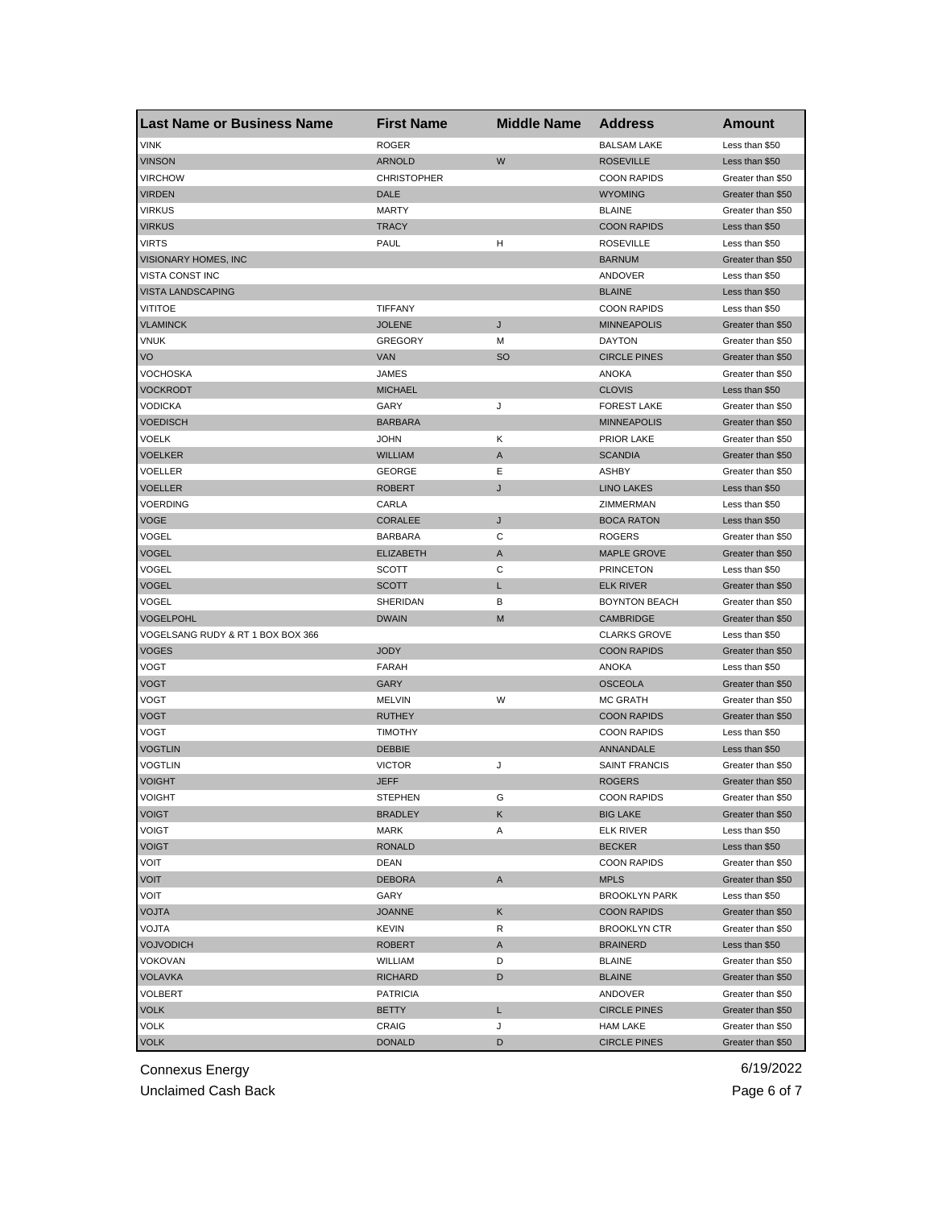| <b>Last Name or Business Name</b> | <b>First Name</b>  | <b>Middle Name</b> | <b>Address</b>       | <b>Amount</b>     |
|-----------------------------------|--------------------|--------------------|----------------------|-------------------|
| <b>VINK</b>                       | <b>ROGER</b>       |                    | <b>BALSAM LAKE</b>   | Less than \$50    |
| <b>VINSON</b>                     | <b>ARNOLD</b>      | W                  | <b>ROSEVILLE</b>     | Less than \$50    |
| <b>VIRCHOW</b>                    | <b>CHRISTOPHER</b> |                    | <b>COON RAPIDS</b>   | Greater than \$50 |
| <b>VIRDEN</b>                     | DALE               |                    | <b>WYOMING</b>       | Greater than \$50 |
| <b>VIRKUS</b>                     | <b>MARTY</b>       |                    | <b>BLAINE</b>        | Greater than \$50 |
| <b>VIRKUS</b>                     | <b>TRACY</b>       |                    | <b>COON RAPIDS</b>   | Less than \$50    |
| <b>VIRTS</b>                      | PAUL               | н                  | <b>ROSEVILLE</b>     | Less than \$50    |
| VISIONARY HOMES, INC              |                    |                    | <b>BARNUM</b>        | Greater than \$50 |
| VISTA CONST INC                   |                    |                    | <b>ANDOVER</b>       | Less than \$50    |
| <b>VISTA LANDSCAPING</b>          |                    |                    | <b>BLAINE</b>        | Less than \$50    |
| VITITOE                           | <b>TIFFANY</b>     |                    | <b>COON RAPIDS</b>   | Less than \$50    |
| <b>VLAMINCK</b>                   | <b>JOLENE</b>      | J                  | <b>MINNEAPOLIS</b>   | Greater than \$50 |
| <b>VNUK</b>                       | <b>GREGORY</b>     | М                  | <b>DAYTON</b>        | Greater than \$50 |
| VO                                | <b>VAN</b>         | <sub>SO</sub>      | <b>CIRCLE PINES</b>  | Greater than \$50 |
| VOCHOSKA                          | JAMES              |                    | <b>ANOKA</b>         | Greater than \$50 |
| <b>VOCKRODT</b>                   | <b>MICHAEL</b>     |                    | <b>CLOVIS</b>        | Less than \$50    |
| VODICKA                           | GARY               | J                  | <b>FOREST LAKE</b>   | Greater than \$50 |
| <b>VOEDISCH</b>                   | <b>BARBARA</b>     |                    | <b>MINNEAPOLIS</b>   | Greater than \$50 |
| VOELK                             | <b>JOHN</b>        | Κ                  | <b>PRIOR LAKE</b>    | Greater than \$50 |
| <b>VOELKER</b>                    | <b>WILLIAM</b>     | Α                  | <b>SCANDIA</b>       | Greater than \$50 |
| VOELLER                           | <b>GEORGE</b>      | Ε                  | <b>ASHBY</b>         | Greater than \$50 |
| <b>VOELLER</b>                    | <b>ROBERT</b>      | J                  | <b>LINO LAKES</b>    | Less than \$50    |
| VOERDING                          | CARLA              |                    | ZIMMERMAN            | Less than \$50    |
| VOGE                              | <b>CORALEE</b>     | J                  | <b>BOCA RATON</b>    | Less than \$50    |
| VOGEL                             | <b>BARBARA</b>     | С                  | <b>ROGERS</b>        | Greater than \$50 |
| VOGEL                             | <b>ELIZABETH</b>   | A                  | <b>MAPLE GROVE</b>   | Greater than \$50 |
| VOGEL                             | <b>SCOTT</b>       | С                  | <b>PRINCETON</b>     | Less than \$50    |
| VOGEL                             | SCOTT              | Г                  | <b>ELK RIVER</b>     | Greater than \$50 |
| VOGEL                             | SHERIDAN           | В                  | <b>BOYNTON BEACH</b> | Greater than \$50 |
| <b>VOGELPOHL</b>                  | <b>DWAIN</b>       | M                  | <b>CAMBRIDGE</b>     | Greater than \$50 |
| VOGELSANG RUDY & RT 1 BOX BOX 366 |                    |                    | <b>CLARKS GROVE</b>  | Less than \$50    |
| <b>VOGES</b>                      | <b>JODY</b>        |                    | <b>COON RAPIDS</b>   | Greater than \$50 |
| VOGT                              | FARAH              |                    | <b>ANOKA</b>         | Less than \$50    |
| VOGT                              | GARY               |                    | <b>OSCEOLA</b>       | Greater than \$50 |
| VOGT                              | <b>MELVIN</b>      | W                  | <b>MC GRATH</b>      | Greater than \$50 |
| VOGT                              | <b>RUTHEY</b>      |                    | <b>COON RAPIDS</b>   | Greater than \$50 |
| VOGT                              | <b>TIMOTHY</b>     |                    | <b>COON RAPIDS</b>   | Less than \$50    |
| <b>VOGTLIN</b>                    | <b>DEBBIE</b>      |                    | ANNANDALE            | Less than \$50    |
| <b>VOGTLIN</b>                    | <b>VICTOR</b>      | J                  | <b>SAINT FRANCIS</b> | Greater than \$50 |
| <b>VOIGHT</b>                     | JEFF               |                    | <b>ROGERS</b>        | Greater than \$50 |
| <b>VOIGHT</b>                     | SIEPHEN            | G                  | <b>COON RAPIDS</b>   | Greater than \$50 |
| <b>VOIGT</b>                      | <b>BRADLEY</b>     | Κ                  | <b>BIG LAKE</b>      | Greater than \$50 |
| VOIGT                             | <b>MARK</b>        | Α                  | <b>ELK RIVER</b>     | Less than \$50    |
| <b>VOIGT</b>                      | <b>RONALD</b>      |                    | <b>BECKER</b>        | Less than \$50    |
| VOIT                              | DEAN               |                    | <b>COON RAPIDS</b>   | Greater than \$50 |
| <b>VOIT</b>                       | <b>DEBORA</b>      | A                  | <b>MPLS</b>          | Greater than \$50 |
| VOIT                              | GARY               |                    | <b>BROOKLYN PARK</b> | Less than \$50    |
| <b>VOJTA</b>                      | <b>JOANNE</b>      | Κ                  | <b>COON RAPIDS</b>   | Greater than \$50 |
| VOJTA                             | <b>KEVIN</b>       | R                  | <b>BROOKLYN CTR</b>  | Greater than \$50 |
| <b>VOJVODICH</b>                  | <b>ROBERT</b>      | Α                  | <b>BRAINERD</b>      | Less than \$50    |
| VOKOVAN                           | WILLIAM            | D                  | <b>BLAINE</b>        | Greater than \$50 |
| <b>VOLAVKA</b>                    | <b>RICHARD</b>     | D                  | <b>BLAINE</b>        | Greater than \$50 |
| VOLBERT                           | <b>PATRICIA</b>    |                    | ANDOVER              | Greater than \$50 |
| VOLK                              | BETTY              | L                  | <b>CIRCLE PINES</b>  | Greater than \$50 |
| VOLK                              | CRAIG              | J                  | <b>HAM LAKE</b>      | Greater than \$50 |
| <b>VOLK</b>                       | <b>DONALD</b>      | D                  | <b>CIRCLE PINES</b>  | Greater than \$50 |

Unclaimed Cash Back **Page 6 of 7**